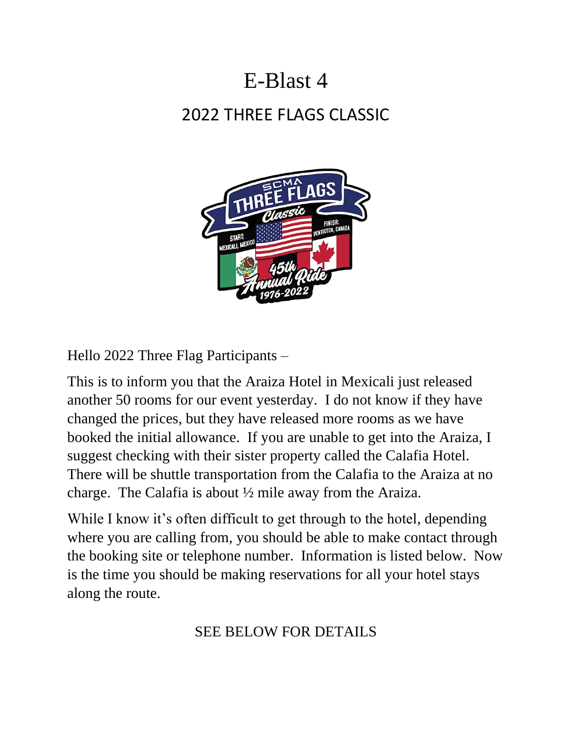# E-Blast 4 2022 THREE FLAGS CLASSIC



Hello 2022 Three Flag Participants –

This is to inform you that the Araiza Hotel in Mexicali just released another 50 rooms for our event yesterday. I do not know if they have changed the prices, but they have released more rooms as we have booked the initial allowance. If you are unable to get into the Araiza, I suggest checking with their sister property called the Calafia Hotel. There will be shuttle transportation from the Calafia to the Araiza at no charge. The Calafia is about ½ mile away from the Araiza.

While I know it's often difficult to get through to the hotel, depending where you are calling from, you should be able to make contact through the booking site or telephone number. Information is listed below. Now is the time you should be making reservations for all your hotel stays along the route.

# SEE BELOW FOR DETAILS